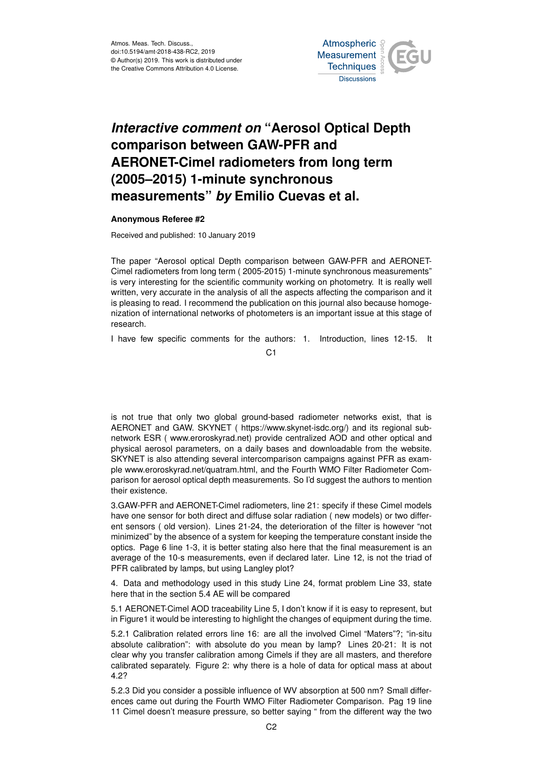Atmos. Meas. Tech. Discuss., doi:10.5194/amt-2018-438-RC2, 2019 © Author(s) 2019. This work is distributed under the Creative Commons Attribution 4.0 License.



## *Interactive comment on* **"Aerosol Optical Depth comparison between GAW-PFR and AERONET-Cimel radiometers from long term (2005–2015) 1-minute synchronous measurements"** *by* **Emilio Cuevas et al.**

## **Anonymous Referee #2**

Received and published: 10 January 2019

The paper "Aerosol optical Depth comparison between GAW-PFR and AERONET-Cimel radiometers from long term ( 2005-2015) 1-minute synchronous measurements" is very interesting for the scientific community working on photometry. It is really well written, very accurate in the analysis of all the aspects affecting the comparison and it is pleasing to read. I recommend the publication on this journal also because homogenization of international networks of photometers is an important issue at this stage of research.

I have few specific comments for the authors: 1. Introduction, lines 12-15. It

 $C<sub>1</sub>$ 

is not true that only two global ground-based radiometer networks exist, that is AERONET and GAW. SKYNET ( https://www.skynet-isdc.org/) and its regional subnetwork ESR ( www.eroroskyrad.net) provide centralized AOD and other optical and physical aerosol parameters, on a daily bases and downloadable from the website. SKYNET is also attending several intercomparison campaigns against PFR as example www.eroroskyrad.net/quatram.html, and the Fourth WMO Filter Radiometer Comparison for aerosol optical depth measurements. So I'd suggest the authors to mention their existence.

3.GAW-PFR and AERONET-Cimel radiometers, line 21: specify if these Cimel models have one sensor for both direct and diffuse solar radiation ( new models) or two different sensors ( old version). Lines 21-24, the deterioration of the filter is however "not minimized" by the absence of a system for keeping the temperature constant inside the optics. Page 6 line 1-3, it is better stating also here that the final measurement is an average of the 10-s measurements, even if declared later. Line 12, is not the triad of PFR calibrated by lamps, but using Langley plot?

4. Data and methodology used in this study Line 24, format problem Line 33, state here that in the section 5.4 AE will be compared

5.1 AERONET-Cimel AOD traceability Line 5, I don't know if it is easy to represent, but in Figure1 it would be interesting to highlight the changes of equipment during the time.

5.2.1 Calibration related errors line 16: are all the involved Cimel "Maters"?; "in-situ absolute calibration": with absolute do you mean by lamp? Lines 20-21: It is not clear why you transfer calibration among Cimels if they are all masters, and therefore calibrated separately. Figure 2: why there is a hole of data for optical mass at about 4.2?

5.2.3 Did you consider a possible influence of WV absorption at 500 nm? Small differences came out during the Fourth WMO Filter Radiometer Comparison. Pag 19 line 11 Cimel doesn't measure pressure, so better saying " from the different way the two